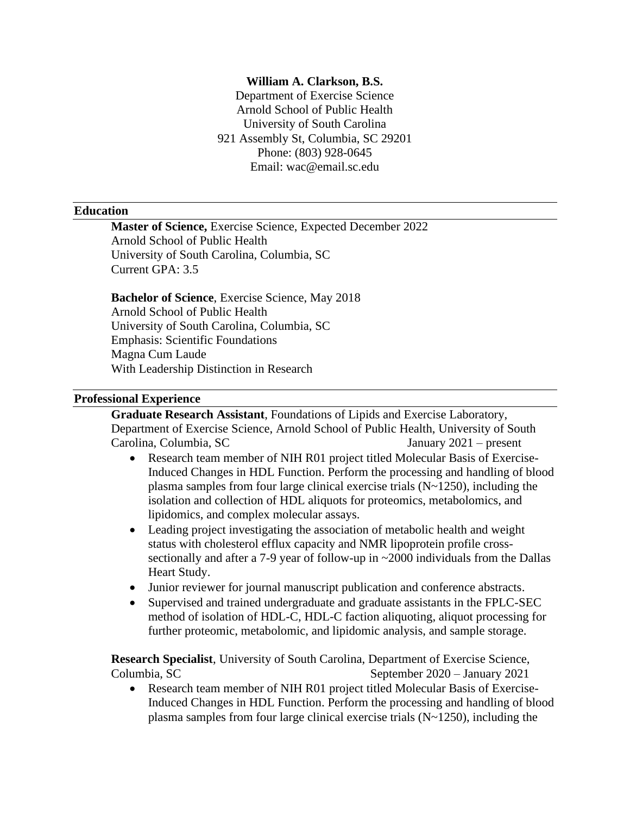### **William A. Clarkson, B.S.**

Department of Exercise Science Arnold School of Public Health University of South Carolina 921 Assembly St, Columbia, SC 29201 Phone: (803) 928-0645 Email: wac@email.sc.edu

#### **Education**

**Master of Science,** Exercise Science, Expected December 2022 Arnold School of Public Health University of South Carolina, Columbia, SC Current GPA: 3.5

**Bachelor of Science**, Exercise Science, May 2018 Arnold School of Public Health University of South Carolina, Columbia, SC Emphasis: Scientific Foundations Magna Cum Laude With Leadership Distinction in Research

### **Professional Experience**

**Graduate Research Assistant**, Foundations of Lipids and Exercise Laboratory, Department of Exercise Science, Arnold School of Public Health, University of South Carolina, Columbia, SC January 2021 – present

- Research team member of NIH R01 project titled Molecular Basis of Exercise-Induced Changes in HDL Function. Perform the processing and handling of blood plasma samples from four large clinical exercise trials (N~1250), including the isolation and collection of HDL aliquots for proteomics, metabolomics, and lipidomics, and complex molecular assays.
- Leading project investigating the association of metabolic health and weight status with cholesterol efflux capacity and NMR lipoprotein profile crosssectionally and after a 7-9 year of follow-up in ~2000 individuals from the Dallas Heart Study.
- Junior reviewer for journal manuscript publication and conference abstracts.
- Supervised and trained undergraduate and graduate assistants in the FPLC-SEC method of isolation of HDL-C, HDL-C faction aliquoting, aliquot processing for further proteomic, metabolomic, and lipidomic analysis, and sample storage.

**Research Specialist**, University of South Carolina, Department of Exercise Science, Columbia, SC September 2020 – January 2021

• Research team member of NIH R01 project titled Molecular Basis of Exercise-Induced Changes in HDL Function. Perform the processing and handling of blood plasma samples from four large clinical exercise trials (N~1250), including the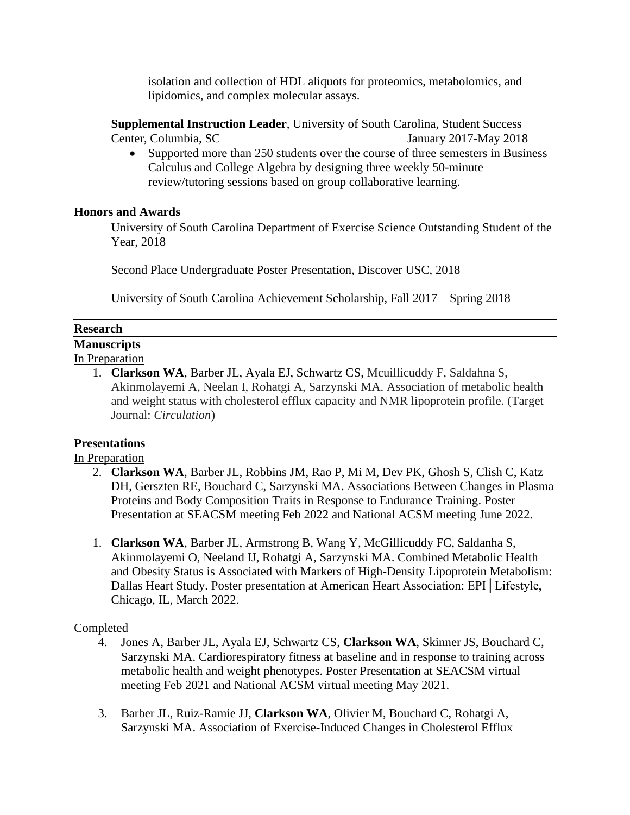isolation and collection of HDL aliquots for proteomics, metabolomics, and lipidomics, and complex molecular assays.

**Supplemental Instruction Leader**, University of South Carolina, Student Success Center, Columbia, SC January 2017-May 2018

• Supported more than 250 students over the course of three semesters in Business Calculus and College Algebra by designing three weekly 50-minute review/tutoring sessions based on group collaborative learning.

### **Honors and Awards**

University of South Carolina Department of Exercise Science Outstanding Student of the Year, 2018

Second Place Undergraduate Poster Presentation, Discover USC, 2018

University of South Carolina Achievement Scholarship, Fall 2017 – Spring 2018

## **Research**

# **Manuscripts**

- In Preparation
	- 1. **Clarkson WA**, Barber JL, Ayala EJ, Schwartz CS, Mcuillicuddy F, Saldahna S, Akinmolayemi A, Neelan I, Rohatgi A, Sarzynski MA. Association of metabolic health and weight status with cholesterol efflux capacity and NMR lipoprotein profile. (Target Journal: *Circulation*)

## **Presentations**

## In Preparation

- 2. **Clarkson WA**, Barber JL, Robbins JM, Rao P, Mi M, Dev PK, Ghosh S, Clish C, Katz DH, Gerszten RE, Bouchard C, Sarzynski MA. Associations Between Changes in Plasma Proteins and Body Composition Traits in Response to Endurance Training. Poster Presentation at SEACSM meeting Feb 2022 and National ACSM meeting June 2022.
- 1. **Clarkson WA**, Barber JL, Armstrong B, Wang Y, McGillicuddy FC, Saldanha S, Akinmolayemi O, Neeland IJ, Rohatgi A, Sarzynski MA. Combined Metabolic Health and Obesity Status is Associated with Markers of High-Density Lipoprotein Metabolism: Dallas Heart Study. Poster presentation at American Heart Association: EPI│Lifestyle, Chicago, IL, March 2022.

## Completed

- 4. Jones A, Barber JL, Ayala EJ, Schwartz CS, **Clarkson WA**, Skinner JS, Bouchard C, Sarzynski MA. Cardiorespiratory fitness at baseline and in response to training across metabolic health and weight phenotypes. Poster Presentation at SEACSM virtual meeting Feb 2021 and National ACSM virtual meeting May 2021.
- 3. Barber JL, Ruiz-Ramie JJ, **Clarkson WA**, Olivier M, Bouchard C, Rohatgi A, Sarzynski MA. Association of Exercise-Induced Changes in Cholesterol Efflux